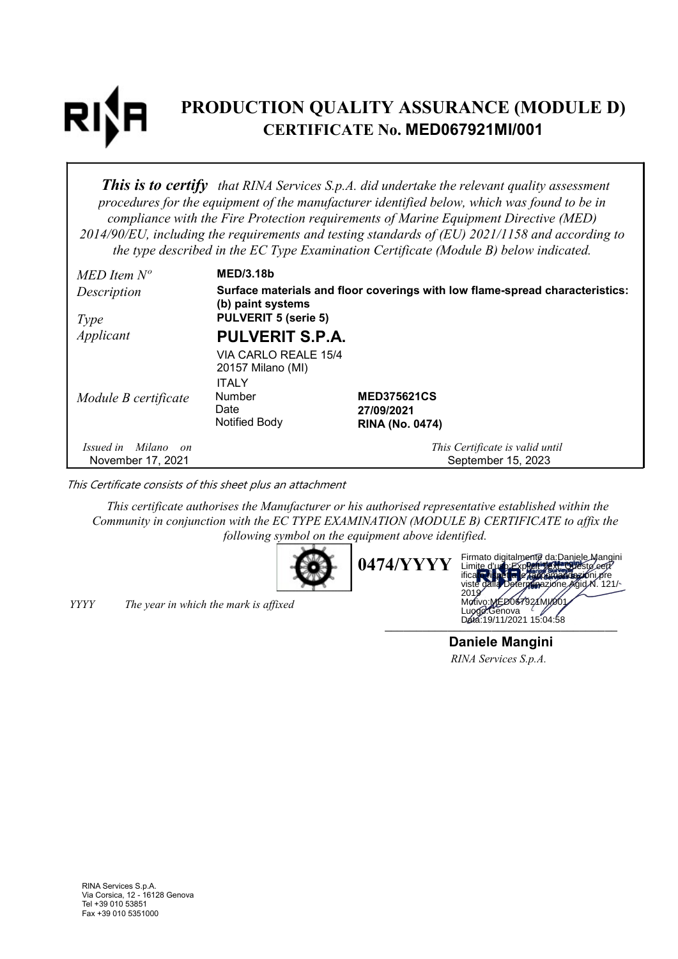# PRODUCTION QUALITY ASSURANCE (MODULE D) CERTIFICATE No. MED067921MI/001

**This is to certify** that RINA Services S.p.A. did undertake the relevant quality assessment procedures for the equipment of the manufacturer identified below, which was found to be in compliance with the Fire Protection requirements of Marine Equipment Directive (MED) 2014/90/EU, including the requirements and testing standards of (EU) 2021/1158 and according to the type described in the EC Type Examination Certificate (Module B) below indicated.

| $MED$ Item $N^o$     | <b>MED/3.18b</b>                                                                                  |                                  |  |
|----------------------|---------------------------------------------------------------------------------------------------|----------------------------------|--|
| Description          | Surface materials and floor coverings with low flame-spread characteristics:<br>(b) paint systems |                                  |  |
| Type                 | <b>PULVERIT 5 (serie 5)</b>                                                                       |                                  |  |
| Applicant            | <b>PULVERIT S.P.A.</b>                                                                            |                                  |  |
|                      | VIA CARLO REALE 15/4                                                                              |                                  |  |
|                      | 20157 Milano (MI)                                                                                 |                                  |  |
|                      | <b>ITALY</b><br><b>Number</b>                                                                     |                                  |  |
| Module B certificate | Date                                                                                              | <b>MED375621CS</b><br>27/09/2021 |  |
|                      | Notified Body                                                                                     | <b>RINA (No. 0474)</b>           |  |
| Issued in Milano on  |                                                                                                   | This Certificate is valid until  |  |
| November 17, 2021    |                                                                                                   | September 15, 2023               |  |

This Certificate consists of this sheet plus an attachment

This certificate authorises the Manufacturer or his authorised representative established within the Community in conjunction with the EC TYPE EXAMINATION (MODULE B) CERTIFICATE to affix the following symbol on the equipment above identified.





YYYY The year in which the mark is affixed

Daniele Mangini RINA Services S.p.A.